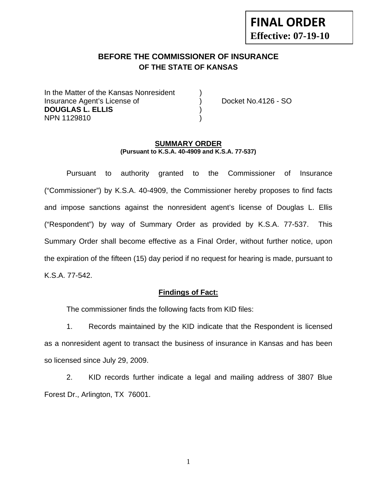# **FINAL ORDER Effective: 07-19-10**

## **BEFORE THE COMMISSIONER OF INSURANCE OF THE STATE OF KANSAS**

In the Matter of the Kansas Nonresident Insurance Agent's License of (a) Docket No.4126 - SO **DOUGLAS L. ELLIS** ) NPN 1129810 )

#### **SUMMARY ORDER (Pursuant to K.S.A. 40-4909 and K.S.A. 77-537)**

 Pursuant to authority granted to the Commissioner of Insurance ("Commissioner") by K.S.A. 40-4909, the Commissioner hereby proposes to find facts and impose sanctions against the nonresident agent's license of Douglas L. Ellis ("Respondent") by way of Summary Order as provided by K.S.A. 77-537. This Summary Order shall become effective as a Final Order, without further notice, upon the expiration of the fifteen (15) day period if no request for hearing is made, pursuant to K.S.A. 77-542.

#### **Findings of Fact:**

The commissioner finds the following facts from KID files:

 1. Records maintained by the KID indicate that the Respondent is licensed as a nonresident agent to transact the business of insurance in Kansas and has been so licensed since July 29, 2009.

 2. KID records further indicate a legal and mailing address of 3807 Blue Forest Dr., Arlington, TX 76001.

1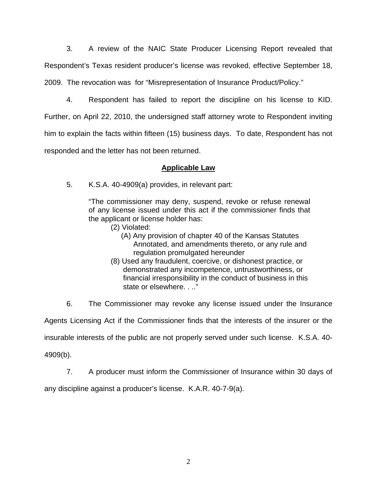3. A review of the NAIC State Producer Licensing Report revealed that Respondent's Texas resident producer's license was revoked, effective September 18, 2009. The revocation was for "Misrepresentation of Insurance Product/Policy."

 4. Respondent has failed to report the discipline on his license to KID. Further, on April 22, 2010, the undersigned staff attorney wrote to Respondent inviting him to explain the facts within fifteen (15) business days. To date, Respondent has not responded and the letter has not been returned.

### **Applicable Law**

5. K.S.A. 40-4909(a) provides, in relevant part:

"The commissioner may deny, suspend, revoke or refuse renewal of any license issued under this act if the commissioner finds that the applicant or license holder has:

- (2) Violated:
	- (A) Any provision of chapter 40 of the Kansas Statutes Annotated, and amendments thereto, or any rule and regulation promulgated hereunder
- (8) Used any fraudulent, coercive, or dishonest practice, or demonstrated any incompetence, untrustworthiness, or financial irresponsibility in the conduct of business in this state or elsewhere. . .."

6. The Commissioner may revoke any license issued under the Insurance

Agents Licensing Act if the Commissioner finds that the interests of the insurer or the

insurable interests of the public are not properly served under such license. K.S.A. 40-

4909(b).

7. A producer must inform the Commissioner of Insurance within 30 days of

any discipline against a producer's license. K.A.R. 40-7-9(a).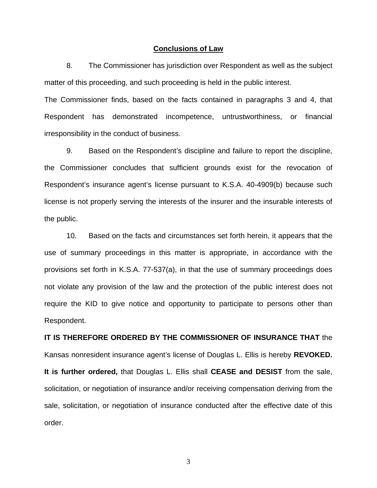#### **Conclusions of Law**

 8. The Commissioner has jurisdiction over Respondent as well as the subject matter of this proceeding, and such proceeding is held in the public interest.

The Commissioner finds, based on the facts contained in paragraphs 3 and 4, that Respondent has demonstrated incompetence, untrustworthiness, or financial irresponsibility in the conduct of business.

 9. Based on the Respondent's discipline and failure to report the discipline, the Commissioner concludes that sufficient grounds exist for the revocation of Respondent's insurance agent's license pursuant to K.S.A. 40-4909(b) because such license is not properly serving the interests of the insurer and the insurable interests of the public.

 10. Based on the facts and circumstances set forth herein, it appears that the use of summary proceedings in this matter is appropriate, in accordance with the provisions set forth in K.S.A. 77-537(a), in that the use of summary proceedings does not violate any provision of the law and the protection of the public interest does not require the KID to give notice and opportunity to participate to persons other than Respondent.

# **IT IS THEREFORE ORDERED BY THE COMMISSIONER OF INSURANCE THAT** the Kansas nonresident insurance agent's license of Douglas L. Ellis is hereby **REVOKED. It is further ordered,** that Douglas L. Ellis shall **CEASE and DESIST** from the sale, solicitation, or negotiation of insurance and/or receiving compensation deriving from the sale, solicitation, or negotiation of insurance conducted after the effective date of this order.

3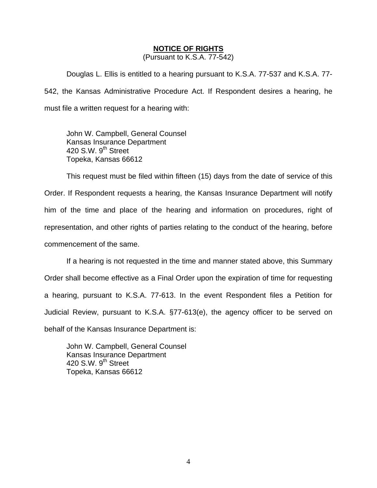#### **NOTICE OF RIGHTS**

(Pursuant to K.S.A. 77-542)

Douglas L. Ellis is entitled to a hearing pursuant to K.S.A. 77-537 and K.S.A. 77- 542, the Kansas Administrative Procedure Act. If Respondent desires a hearing, he must file a written request for a hearing with:

 John W. Campbell, General Counsel Kansas Insurance Department 420 S.W. 9<sup>th</sup> Street Topeka, Kansas 66612

This request must be filed within fifteen (15) days from the date of service of this Order. If Respondent requests a hearing, the Kansas Insurance Department will notify him of the time and place of the hearing and information on procedures, right of representation, and other rights of parties relating to the conduct of the hearing, before commencement of the same.

If a hearing is not requested in the time and manner stated above, this Summary Order shall become effective as a Final Order upon the expiration of time for requesting a hearing, pursuant to K.S.A. 77-613. In the event Respondent files a Petition for Judicial Review, pursuant to K.S.A. §77-613(e), the agency officer to be served on behalf of the Kansas Insurance Department is:

 John W. Campbell, General Counsel Kansas Insurance Department 420 S.W.  $9<sup>th</sup>$  Street Topeka, Kansas 66612